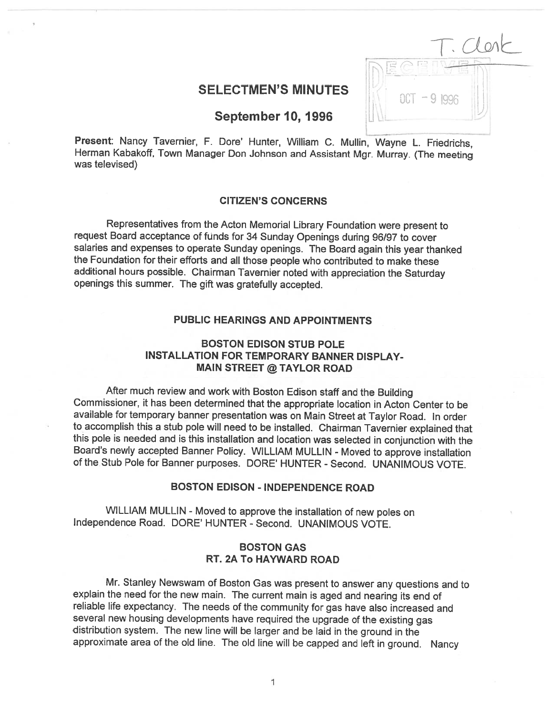| c<br>×          | lent |
|-----------------|------|
|                 |      |
| $0C$ T - 9 1996 |      |

# SELECTMEN'S MINUTES

September 10, 1996

Present: Nancy Tavernier, F. Dore' Hunter, William C. Mullin, Wayne L. Friedrichs, Herman Kabakoff, Town Manager Don Johnson and Assistant Mgr. Murray. (The meeting was televised)

## CITIZEN'S CONCERNS

Representatives from the Acton Memorial Library Foundation were present to request Board acceptance of funds for <sup>34</sup> Sunday Openings during 96/97 to cover salaries and expenses to operate Sunday openings. The Board again this year thanked the Foundation for their efforts and all those people who contributed to make these additional hours possible. Chairman Tavernier noted with appreciation the Saturday openings this summer. The <sup>g</sup>ift was gratefully accepted.

## PUBLIC HEARINGS AND APPOINTMENTS

## BOSTON EDISON STUB POLE INSTALLATION FOR TEMPORARY BANNER DISPLAY-MAIN STREET @ TAYLOR ROAD

After much review and work with Boston Edison staff and the Building Commissioner, it has been determined that the appropriate location in Acton Center to be available for temporary banner presentation was on Main Street at Taylor Road. In order to accomplish this <sup>a</sup> stub pole will need to be installed. Chairman Tavernier explained that this pole is needed and is this installation and location was selected in conjunction with the Board's newly accepted Banner Policy. WILLIAM MULLIN - Moved to approve installation of the Stub Pole for Banner purposes. DORE' HUNTER - Second. UNANIMOUS VOTE.

# BOSTON EDISON - INDEPENDENCE ROAD

WILLIAM MULLIN - Moved to approve the installation of new poles on Independence Road. DORE' HUNTER - Second. UNANIMOUS VOTE.

## BOSTON GAS RT. 2A To HAYWARD ROAD

Mr. Stanley Newswam of Boston Gas was present to answer any questions and to explain the need for the new main. The current main is aged and nearing its end of reliable life expectancy. The needs of the community for gas have also increased and several new housing developments have required the upgrade of the existing gas distribution system. The new line will be larger and be laid in the ground in the approximate area of the old line. The old line will be capped and left in ground. Nancy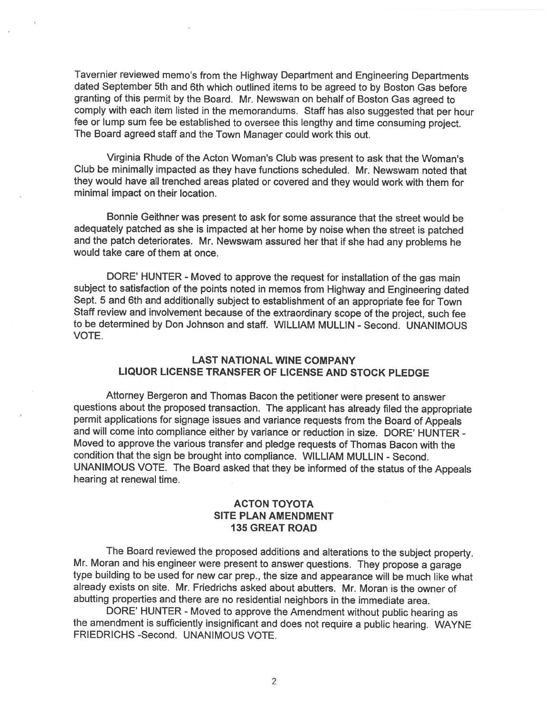Taverniet reviewed memo's from the Highway Department and Engineering Departments dated September 5th and 6th which outlined items to be agree<sup>d</sup> to by Boston Gas before granting of this permit by the Board. Mr. Newswan on behalf of Boston Gas agree<sup>d</sup> to comply with each item listed in the memorandums. Staff has also suggested that per hour fee or lump sum fee be established to oversee this lengthy and time consuming project. The Board agree<sup>d</sup> staff and the Town Manager could work this out.

Virginia Rhude of the Acton Woman's Club was presen<sup>t</sup> to ask that the Woman's Club be minimally impacted as they have functions scheduled. Mr. Newswam noted that they would have all trenched areas <sup>p</sup>lated or covered and they would work with them for minimal impact on their location.

Bonnie Geithner was presen<sup>t</sup> to ask for some assurance that the street would be adequately patched as she is impacted at her home by noise when the street is patched and the patch deteriorates. Mr. Newswam assured her that if she had any problems he would take care of them at once.

DORE' HUNTER - Moved to approve the request for installation of the gas main subject to satisfaction of the points noted in memos from Highway and Engineering dated Sept. <sup>5</sup> and 6th and additionally subject to establishment of an appropriate fee for Town Staff review and involvement because of the extraordinary scope of the project, such fee to be determined by Don Johnson and staff. WILLIAM MULLIN - Second. UNANIMOUS VOTE.

## LAST NATIONAL WINE COMPANY LIQUOR LICENSE TRANSFER OF LICENSE AND STOCK PLEDGE

Attorney Bergeron and Thomas Bacon the petitioner were presen<sup>t</sup> to answer questions about the propose<sup>d</sup> transaction. The applicant has already filed the appropriate permit applications for signage issues and variance requests from the Board of Appeals and will come into compliance either by variance or reduction in size. DORE' HUNTER - Moved to approve the various transfer and <sup>p</sup>ledge requests of Thomas Bacon with the condition that the sign be brought into compliance. WILLIAM MULLIN - Second. UNANIMOUS VOTE. The Board asked that they be informed of the status of the Appeals hearing at renewal time.

## ACTON TOYOTA SITE PLAN AMENDMENT 135 GREAT ROAD

The Board reviewed the propose<sup>d</sup> additions and alterations to the subject property. Mr. Moran and his engineer were presen<sup>t</sup> to answer questions. They propose <sup>a</sup> garage type building to be used for new car prep., the size and appearance will be much like what already exists on site. Mr. Friedrichs asked about abutters. Mr. Moran is the owner of abutting properties and there are no residential neighbors in the immediate area.

DORE' HUNTER - Moved to approve the Amendment without public hearing as the amendment is sufficiently insignificant and does not require <sup>a</sup> public hearing. WAYNE FRIEDRICHS -Second. UNANIMOUS VOTE.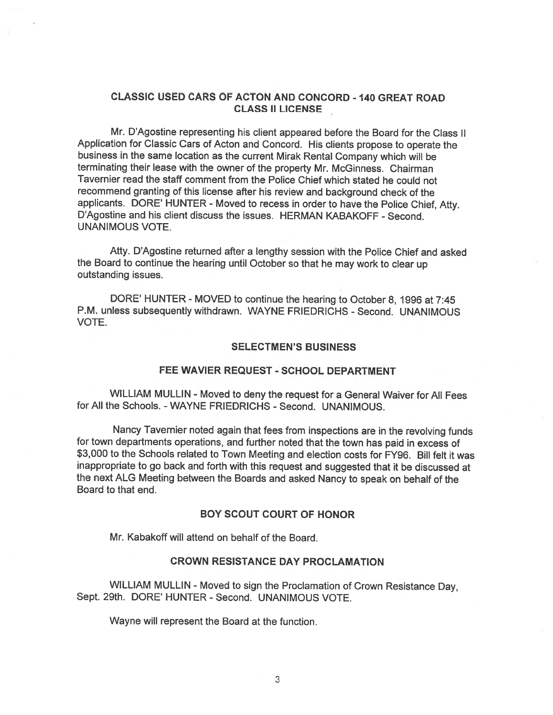## CLASSIC USED CARS OF ACTON AND CONCORD - 140 GREAT ROAD CLASS II LICENSE

Mr. D'Agostine representing his client appeared before the Board for the Class II Application for Classic Cars of Acton and Concord. His clients propose to operate the business in the same location as the current Mirak Rental Company which will be terminating their lease with the owner of the property Mr. McGinness. Chairman Tavernier read the staff comment from the Police Chief which stated he could not recommend granting of this license after his review and background check of the applicants. DORE' HUNTER - Moved to recess in order to have the Police Chief, Atty. D'Agostine and his client discuss the issues. HERMAN KABAKOFF - Second. UNANIMOUS VOTE.

Atty. D'Agostine returned after <sup>a</sup> lengthy session with the Police Chief and asked the Board to continue the hearing until October so that he may work to clear up outstanding issues.

DORE' HUNTER - MOVED to continue the hearing to October 8, 1996 at 7:45 P.M. unless subsequently withdrawn. WAYNE FRIEDRICHS - Second. UNANIMOUS VOTE.

#### SELECTMEN'S BUSINESS

## FEE WAVIER REQUEST - SCHOOL DEPARTMENT

WILLIAM MULLIN - Moved to deny the reques<sup>t</sup> for <sup>a</sup> General Waiver for All Fees for All the Schools. -WAYNE FRIEDRICHS - Second. UNANIMOUS.

Nancy Tavernier noted again that fees from inspections are in the revolving funds for town departments operations, and further noted that the town has paid in excess of \$3,000 to the Schools related to Town Meeting and election costs for FY96. Bill felt it was inappropriate to go back and forth with this reques<sup>t</sup> and suggested that it be discussed at the next ALG Meeting between the Boards and asked Nancy to spea<sup>k</sup> on behalf of the Board to that end.

## BOY SCOUT COURT OF HONOR

Mr. Kabakoff will attend on behalf of the Board.

#### CROWN RESISTANCE DAY PROCLAMATION

WILLIAM MULLIN - Moved to sign the Proclamation of Crown Resistance Day, Sept. 29th. DORE' HUNTER - Second. UNANIMOUS VOTE.

Wayne will represen<sup>t</sup> the Board at the function.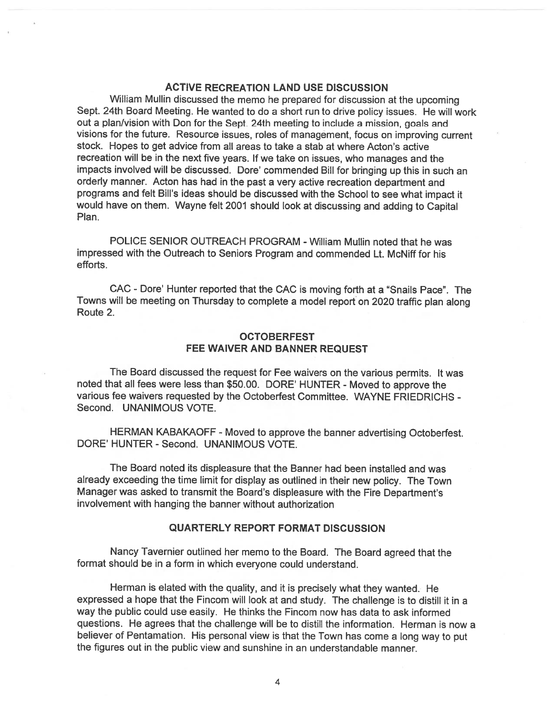## ACTIVE RECREATION LAND USE DISCUSSION

William Mullin discussed the memo he prepare<sup>d</sup> for discussion at the upcoming Sept. 24th Board Meeting. He wanted to do <sup>a</sup> short run to drive policy issues. He will work out <sup>a</sup> <sup>p</sup>lan/vision with Don for the Sept. 24th meeting to include <sup>a</sup> mission, goals and visions for the future. Resource issues, roles of management, focus on improving current stock. Hopes to ge<sup>t</sup> advice from all areas to take <sup>a</sup> stab at where Acton's active recreation will be in the next five years. If we take on issues, who manages and the impacts involved will be discussed. Dore' commended Bill for bringing up this in such an orderly manner. Acton has had in the pas<sup>t</sup> <sup>a</sup> very active recreation department and programs and felt Bill's ideas should be discussed with the School to see what impact it would have on them. Wayne felt <sup>2001</sup> should look at discussing and adding to Capital Plan.

POLICE SENIOR OUTREACH PROGRAM -William Mullin noted that he was impressed with the Outreach to Seniors Program and commended Lt. McNiff for his efforts.

CAC - Dore' Hunter reported that the CAC is moving forth at <sup>a</sup> "Snails Pace". The Towns will be meeting on Thursday to complete <sup>a</sup> model repor<sup>t</sup> on <sup>2020</sup> traffic <sup>p</sup>lan along Route 2.

### OCTOBERFEST FEE WAIVER AND BANNER REQUEST

The Board discussed the reques<sup>t</sup> for Fee waivers on the various permits. It was noted that all fees were less than \$50.00. DORE' HUNTER - Moved to approve the various fee waivers requested by the Octoberfest Committee. WAYNE FRIEDRICHS - Second. UNANIMOUS VOTE.

HERMAN KABAKAOFF - Moved to approve the banner advertising Octoberfest. DORE' HUNTER - Second. UNANIMOUS VOTE.

The Board noted its displeasure that the Banner had been installed and was already exceeding the time limit for display as outlined in their new policy. The Town Manager was asked to transmit the Board's displeasure with the Fire Department's involvement with hanging the banner without authorization

## QUARTERLY REPORT FORMAT DISCUSSION

Nancy Tavernier outlined her memo to the Board. The Board agree<sup>d</sup> that the format should be in <sup>a</sup> form in which everyone could understand.

Herman is elated with the quality, and it is precisely what they wanted. He expresse<sup>d</sup> <sup>a</sup> hope that the Fincom will look at and study. The challenge is to distill it in <sup>a</sup> way the public could use easily. He thinks the Fincom now has data to ask informed questions. He agrees that the challenge will be to distill the information. Herman is now <sup>a</sup> believer of Pentamation. His persona<sup>l</sup> view is that the Town has come <sup>a</sup> long way to pu<sup>t</sup> the figures out in the public view and sunshine in an understandable manner.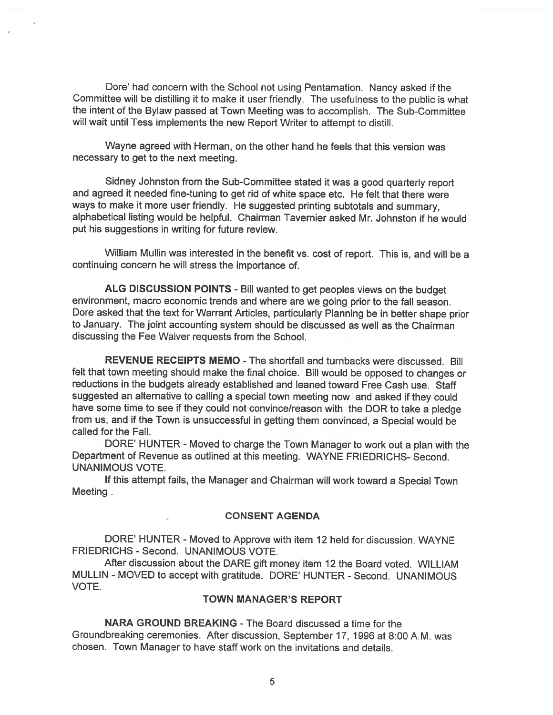Dore' had concern with the School not using Pentamation. Nancy asked if the Committee will be distilling it to make it user friendly. The usefulness to the public is what the intent of the Bylaw passe<sup>d</sup> at Town Meeting was to accomplish. The Sub-Committee will wait until Tess implements the new Report Writer to attempt to distill.

Wayne agreed with Herman, on the other hand he feels that this version was necessary to ge<sup>t</sup> to the next meeting.

Sidney Johnston from the Sub-Committee stated it was <sup>a</sup> goo<sup>d</sup> quarterly repor<sup>t</sup> and agreed it needed fine-tuning to ge<sup>t</sup> rid of white space etc. He felt that there were ways to make it more user friendly. He suggested printing subtotals and summary, alphabetical listing would be helpful. Chairman Tavernier asked Mr. Johnston if he would pu<sup>t</sup> his suggestions in writing for future review.

William Mullin was interested in the benefit vs. cost of report. This is, and will be <sup>a</sup> continuing concern he will stress the importance of.

ALG DISCUSSION POINTS - Bill wanted to ge<sup>t</sup> peoples views on the budget environment, macro economic trends and where are we going prior to the fall season. Dore asked that the text for Warrant Articles, particularly Planning be in better shape prior to January. The joint accounting system should be discussed as well as the Chairman discussing the Fee Waiver requests from the School.

REVENUE RECEIPTS MEMO - The shortfall and turnbacks were discussed. Bill felt that town meeting should make the final choice. Bill would be oppose<sup>d</sup> to changes or reductions in the budgets already established and leaned toward Free Cash use. Staff suggested an alternative to calling <sup>a</sup> special town meeting now and asked if they could have some time to see if they could not convince/reason with the DOR to take <sup>a</sup> <sup>p</sup>ledge from us, and if the Town is unsuccessful in getting them convinced, <sup>a</sup> Special would be called for the Fall.

DORE' HUNTER - Moved to charge the Town Manager to work out <sup>a</sup> <sup>p</sup>lan with the Department of Revenue as outlined at this meeting. WAYNE FRIEDRICHS- Second. UNANIMOUS VOTE.

If this attempt fails, the Manager and Chairman will work toward <sup>a</sup> Special Town Meeting.

## CONSENT AGENDA

DORE' HUNTER - Moved to Approve with item 12 held for discussion. WAYNE FRIEDRICHS - Second. UNANIMOUS VOTE.

After discussion about the DARE <sup>g</sup>ift money item <sup>12</sup> the Board voted. WILLIAM MULLIN - MOVED to accep<sup>t</sup> with gratitude. DORE' HUNTER - Second. UNANIMOUS VOTE.

#### TOWN MANAGER'S REPORT

NARA GROUND BREAKING -The Board discussed <sup>a</sup> time for the Groundbreaking ceremonies. After discussion, September 17, 1996 at 8:00 A.M. was chosen. Town Manager to have staff work on the invitations and details.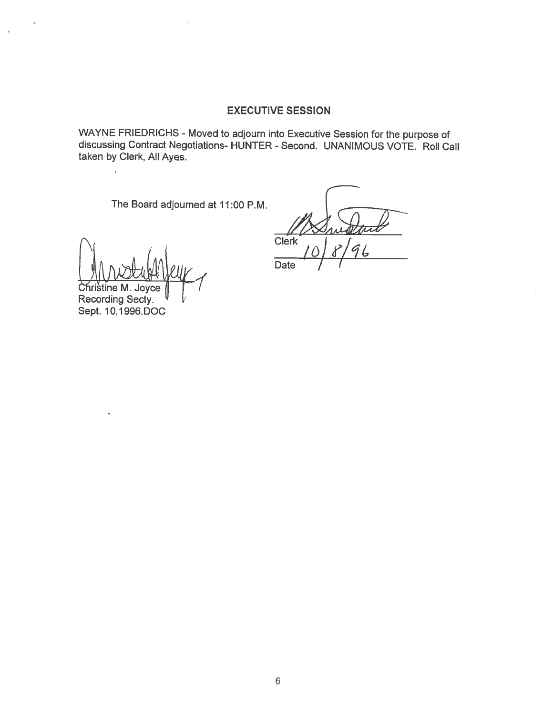## EXECUTIVE SESSION

WAYNE FRIEDRICHS - Moved to adjourn into Executive Session for the purpose of discussing Contract Negotiations- HUNTER - Second. UNANIMOUS VOTE. Roll Call taken by Clerk, All Ayes.

The Board adjourned at 11:00 P.M.

Christine M. Joyce

Recording Secty. Sept. 10,1996.DOC

 $\ddot{\phantom{a}}$ 

Clerk<sup>1</sup><br>Date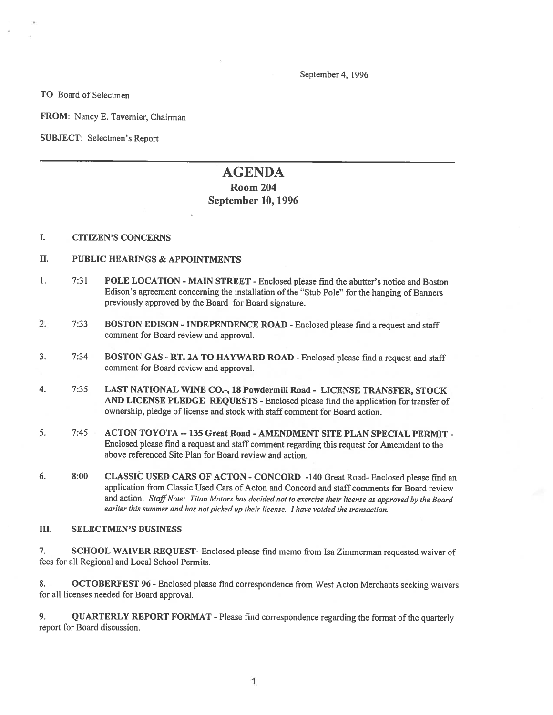September 4, 1996

TO Board of Selectmen

FROM: Nancy E. Tavemier, Chairman

SUBJECT: Selectmen's Report

# AGENDA Room 204 September 10, 1996

#### I. CITIZEN'S CONCERNS

#### II. PUBLIC HEARINGS & APPOINTMENTS

- 1. 7:31 POLE LOCATION -MAIN STREET Enclosed <sup>p</sup>lease find the abutter's notice and Boston Edison's agreement concerning the installation of the "Stub Pole" for the hanging of Banners previously approved by the Board for Board signature.
- 2. 7:33 BOSTON EDISON INDEPENDENCE ROAD Enclosed <sup>p</sup>lease find <sup>a</sup> reques<sup>t</sup> and staff comment for Board review and approval.
- 3. 7:34 BOSTON GAS -RT. 2A TO HAYWARD ROAD -Enclosed <sup>p</sup>lease fmd <sup>a</sup> reques<sup>t</sup> and staff comment for Board review and approval.
- 4. 7:35 LAST NATIONAL WINE CO.-, 18 Powdermill Road LICENSE TRANSFER, STOCK AND LICENSE PLEDGE REQUESTS - Enclosed <sup>p</sup>lease find the application for transfer of ownership, pledge of license and stock with staff comment for Board action.
- 5. 7:45 ACTON TOYOTA -- 135 Great Road AMENDMENT SITE PLAN SPECIAL PERMIT -Enclosed <sup>p</sup>lease find <sup>a</sup> reques<sup>t</sup> and staff comment regarding this reques<sup>t</sup> for Amemdent to the above referenced Site Plan for Board review and action.
- 6. 8:00 CLASSIC USED CARS OF ACTON -CONCORD -140 Great Road- Enclosed <sup>p</sup>lease find an application from Classic Used Cars of Acton and Concord and staff comments for Board review and action. Staff Note: Titan Motors has decided not to exercise their license as approved by the Board earlier this summer and has not picked up their license. <sup>I</sup> have voided the transaction.

#### III. SELECTMEN'S BUSINESS

7. SCHOOL WAIVER REQUEST- Enclosed <sup>p</sup>lease find memo from Isa Zimmerman requested waiver of fees for all Regional and Local School Permits.

8. **OCTOBERFEST 96** - Enclosed please find correspondence from West Acton Merchants seeking waivers for all licenses needed for Board approval.

9. QUARTERLY REPORT FORMAT - Please find correspondence regarding the format of the quarterly repor<sup>t</sup> for Board discussion.